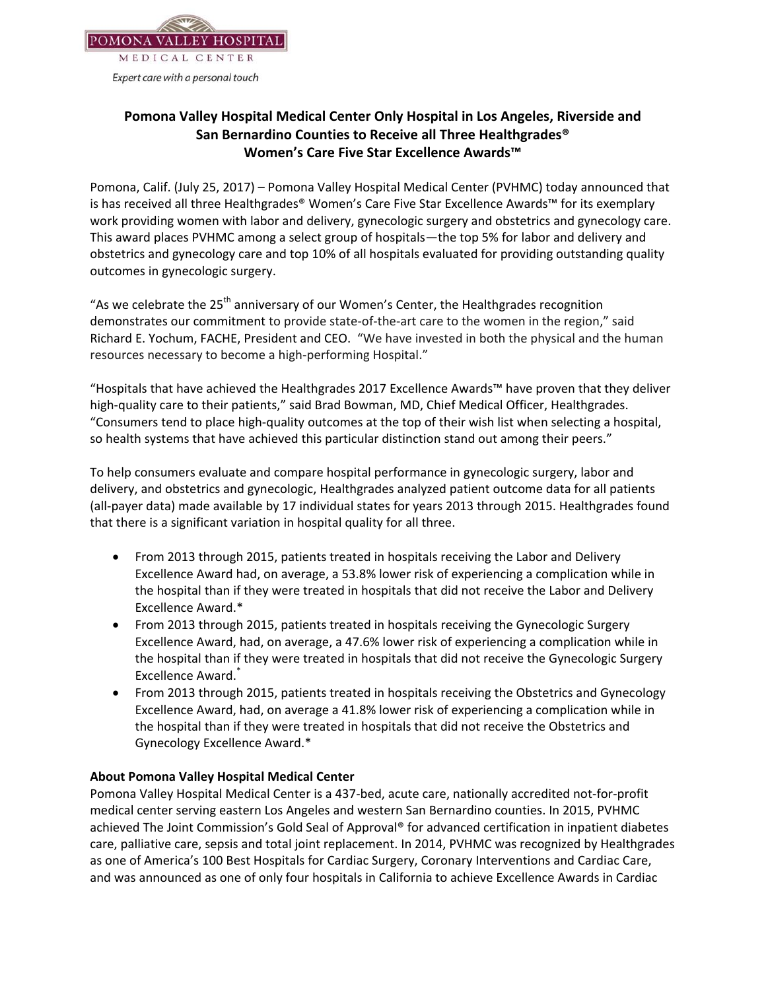

## **Pomona Valley Hospital Medical Center Only Hospital in Los Angeles, Riverside and San Bernardino Counties to Receive all Three Healthgrades® Women's Care Five Star Excellence Awards™**

Pomona, Calif. (July 25, 2017) – Pomona Valley Hospital Medical Center (PVHMC) today announced that is has received all three Healthgrades® Women's Care Five Star Excellence Awards™ for its exemplary work providing women with labor and delivery, gynecologic surgery and obstetrics and gynecology care. This award places PVHMC among a select group of hospitals—the top 5% for labor and delivery and obstetrics and gynecology care and top 10% of all hospitals evaluated for providing outstanding quality outcomes in gynecologic surgery.

"As we celebrate the  $25<sup>th</sup>$  anniversary of our Women's Center, the Healthgrades recognition demonstrates our commitment to provide state-of-the-art care to the women in the region," said Richard E. Yochum, FACHE, President and CEO. "We have invested in both the physical and the human resources necessary to become a high-performing Hospital."

"Hospitals that have achieved the Healthgrades 2017 Excellence Awards™ have proven that they deliver high-quality care to their patients," said Brad Bowman, MD, Chief Medical Officer, Healthgrades. "Consumers tend to place high-quality outcomes at the top of their wish list when selecting a hospital, so health systems that have achieved this particular distinction stand out among their peers."

To help consumers evaluate and compare hospital performance in gynecologic surgery, labor and delivery, and obstetrics and gynecologic, Healthgrades analyzed patient outcome data for all patients (all-payer data) made available by 17 individual states for years 2013 through 2015. Healthgrades found that there is a significant variation in hospital quality for all three.

- From 2013 through 2015, patients treated in hospitals receiving the Labor and Delivery Excellence Award had, on average, a 53.8% lower risk of experiencing a complication while in the hospital than if they were treated in hospitals that did not receive the Labor and Delivery Excellence Award.\*
- From 2013 through 2015, patients treated in hospitals receiving the Gynecologic Surgery Excellence Award, had, on average, a 47.6% lower risk of experiencing a complication while in the hospital than if they were treated in hospitals that did not receive the Gynecologic Surgery Excellence Award.<sup>\*</sup>
- From 2013 through 2015, patients treated in hospitals receiving the Obstetrics and Gynecology Excellence Award, had, on average a 41.8% lower risk of experiencing a complication while in the hospital than if they were treated in hospitals that did not receive the Obstetrics and Gynecology Excellence Award.\*

## **About Pomona Valley Hospital Medical Center**

Pomona Valley Hospital Medical Center is a 437-bed, acute care, nationally accredited not-for-profit medical center serving eastern Los Angeles and western San Bernardino counties. In 2015, PVHMC achieved The Joint Commission's Gold Seal of Approval® for advanced certification in inpatient diabetes care, palliative care, sepsis and total joint replacement. In 2014, PVHMC was recognized by Healthgrades as one of America's 100 Best Hospitals for Cardiac Surgery, Coronary Interventions and Cardiac Care, and was announced as one of only four hospitals in California to achieve Excellence Awards in Cardiac